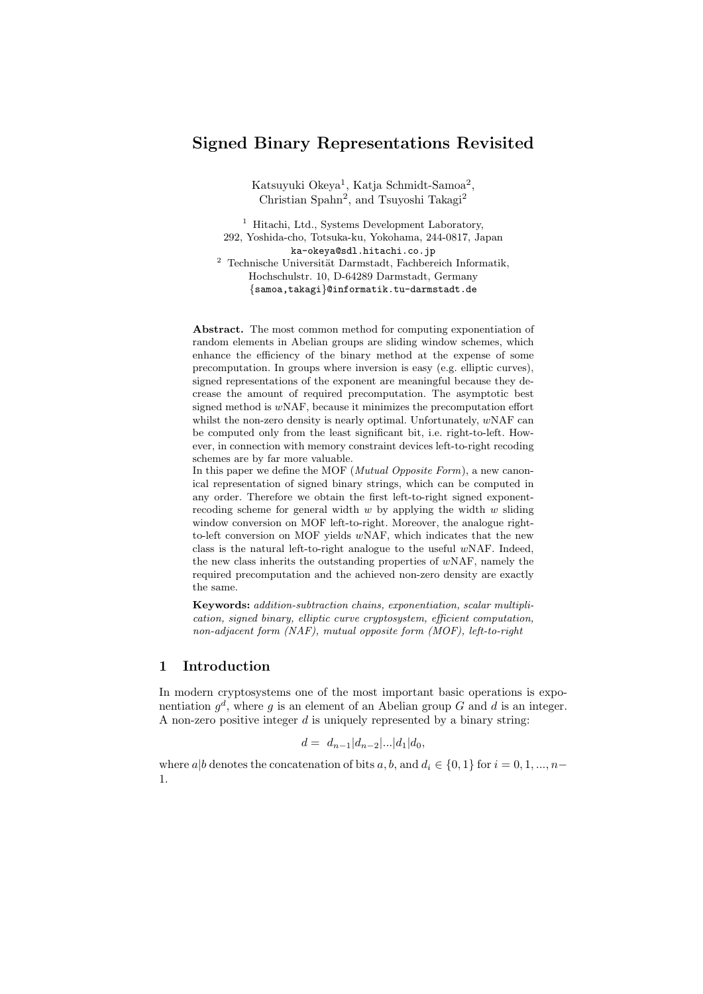# Signed Binary Representations Revisited

Katsuyuki Okeya<sup>1</sup>, Katja Schmidt-Samoa<sup>2</sup>, Christian Spahn<sup>2</sup>, and Tsuyoshi Takagi<sup>2</sup>

 $<sup>1</sup>$  Hitachi, Ltd., Systems Development Laboratory,</sup> 292, Yoshida-cho, Totsuka-ku, Yokohama, 244-0817, Japan ka-okeya@sdl.hitachi.co.jp  $^2$  Technische Universität Darmstadt, Fachbereich Informatik, Hochschulstr. 10, D-64289 Darmstadt, Germany {samoa,takagi}@informatik.tu-darmstadt.de

Abstract. The most common method for computing exponentiation of random elements in Abelian groups are sliding window schemes, which enhance the efficiency of the binary method at the expense of some precomputation. In groups where inversion is easy (e.g. elliptic curves), signed representations of the exponent are meaningful because they decrease the amount of required precomputation. The asymptotic best signed method is  $w\text{NAF}$ , because it minimizes the precomputation effort whilst the non-zero density is nearly optimal. Unfortunately,  $wNAF$  can be computed only from the least significant bit, i.e. right-to-left. However, in connection with memory constraint devices left-to-right recoding schemes are by far more valuable.

In this paper we define the MOF (*Mutual Opposite Form*), a new canonical representation of signed binary strings, which can be computed in any order. Therefore we obtain the first left-to-right signed exponentrecoding scheme for general width  $w$  by applying the width  $w$  sliding window conversion on MOF left-to-right. Moreover, the analogue rightto-left conversion on MOF yields wNAF, which indicates that the new class is the natural left-to-right analogue to the useful  $w\text{NAF}$ . Indeed, the new class inherits the outstanding properties of  $wNAF$ , namely the required precomputation and the achieved non-zero density are exactly the same.

Keywords: addition-subtraction chains, exponentiation, scalar multiplication, signed binary, elliptic curve cryptosystem, efficient computation, non-adjacent form (NAF), mutual opposite form (MOF), left-to-right

## 1 Introduction

In modern cryptosystems one of the most important basic operations is exponentiation  $g^d$ , where g is an element of an Abelian group G and d is an integer. A non-zero positive integer  $d$  is uniquely represented by a binary string:

$$
d = d_{n-1}|d_{n-2}|...|d_1|d_0,
$$

where a|b denotes the concatenation of bits a, b, and  $d_i \in \{0, 1\}$  for  $i = 0, 1, ..., n-$ 1.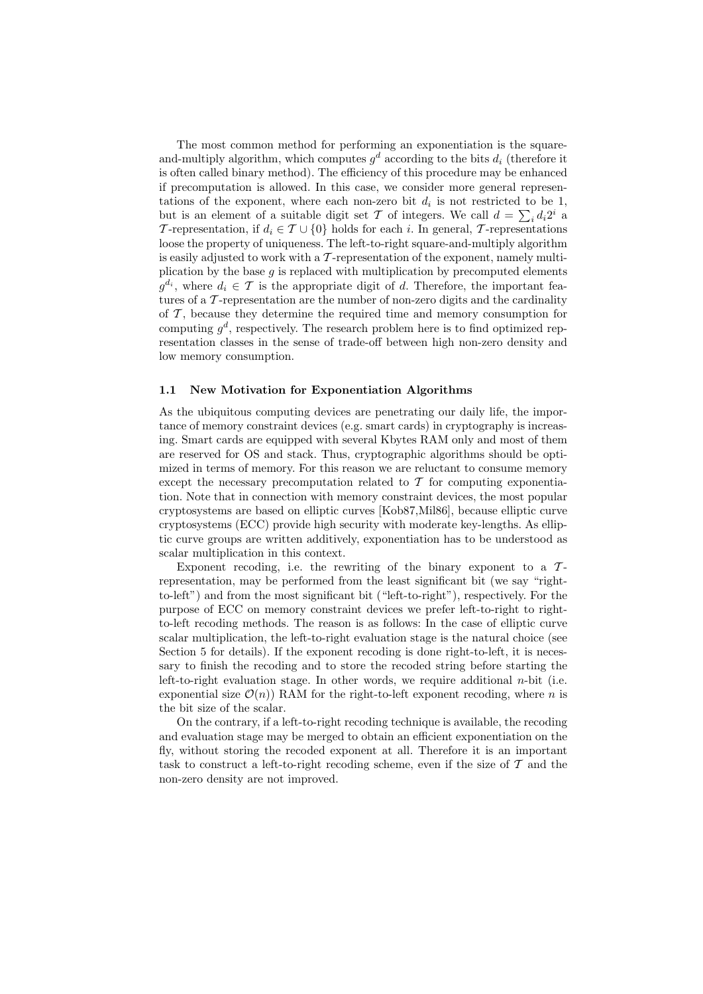The most common method for performing an exponentiation is the squareand-multiply algorithm, which computes  $g^d$  according to the bits  $d_i$  (therefore it is often called binary method). The efficiency of this procedure may be enhanced if precomputation is allowed. In this case, we consider more general representations of the exponent, where each non-zero bit  $d_i$  is not restricted to be 1, but is an element of a suitable digit set T of integers. We call  $d = \sum_i d_i 2^i$  a T-representation, if  $d_i \in T \cup \{0\}$  holds for each i. In general, T-representations loose the property of uniqueness. The left-to-right square-and-multiply algorithm is easily adjusted to work with a  $\mathcal T$ -representation of the exponent, namely multiplication by the base  $g$  is replaced with multiplication by precomputed elements  $g^{d_i}$ , where  $d_i \in \mathcal{T}$  is the appropriate digit of d. Therefore, the important features of a  $\mathcal T$ -representation are the number of non-zero digits and the cardinality of  $\mathcal T$ , because they determine the required time and memory consumption for computing  $g^d$ , respectively. The research problem here is to find optimized representation classes in the sense of trade-off between high non-zero density and low memory consumption.

### 1.1 New Motivation for Exponentiation Algorithms

As the ubiquitous computing devices are penetrating our daily life, the importance of memory constraint devices (e.g. smart cards) in cryptography is increasing. Smart cards are equipped with several Kbytes RAM only and most of them are reserved for OS and stack. Thus, cryptographic algorithms should be optimized in terms of memory. For this reason we are reluctant to consume memory except the necessary precomputation related to  $\mathcal T$  for computing exponentiation. Note that in connection with memory constraint devices, the most popular cryptosystems are based on elliptic curves [Kob87,Mil86], because elliptic curve cryptosystems (ECC) provide high security with moderate key-lengths. As elliptic curve groups are written additively, exponentiation has to be understood as scalar multiplication in this context.

Exponent recoding, i.e. the rewriting of the binary exponent to a  $\mathcal{T}$ representation, may be performed from the least significant bit (we say "rightto-left") and from the most significant bit ("left-to-right"), respectively. For the purpose of ECC on memory constraint devices we prefer left-to-right to rightto-left recoding methods. The reason is as follows: In the case of elliptic curve scalar multiplication, the left-to-right evaluation stage is the natural choice (see Section 5 for details). If the exponent recoding is done right-to-left, it is necessary to finish the recoding and to store the recoded string before starting the left-to-right evaluation stage. In other words, we require additional  $n$ -bit (i.e. exponential size  $\mathcal{O}(n)$  RAM for the right-to-left exponent recoding, where n is the bit size of the scalar.

On the contrary, if a left-to-right recoding technique is available, the recoding and evaluation stage may be merged to obtain an efficient exponentiation on the fly, without storing the recoded exponent at all. Therefore it is an important task to construct a left-to-right recoding scheme, even if the size of  $\mathcal T$  and the non-zero density are not improved.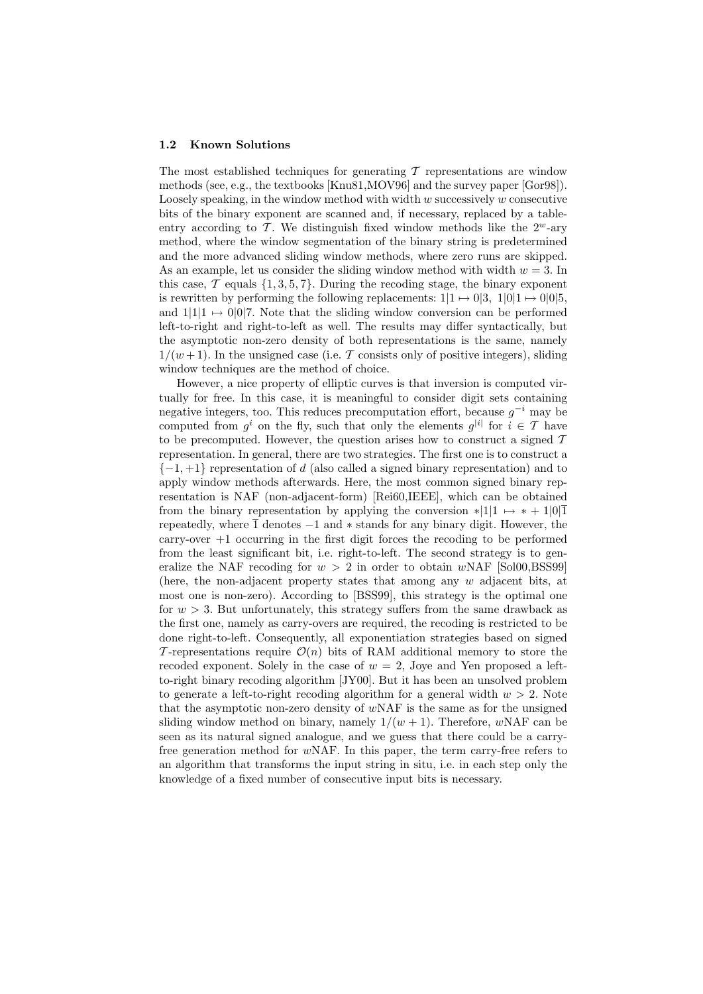### 1.2 Known Solutions

The most established techniques for generating  $\mathcal T$  representations are window methods (see, e.g., the textbooks [Knu81,MOV96] and the survey paper [Gor98]). Loosely speaking, in the window method with width  $w$  successively  $w$  consecutive bits of the binary exponent are scanned and, if necessary, replaced by a tableentry according to T. We distinguish fixed window methods like the  $2^w$ -ary method, where the window segmentation of the binary string is predetermined and the more advanced sliding window methods, where zero runs are skipped. As an example, let us consider the sliding window method with width  $w = 3$ . In this case,  $\mathcal T$  equals  $\{1, 3, 5, 7\}$ . During the recoding stage, the binary exponent is rewritten by performing the following replacements:  $1|1 \mapsto 0|3, 1|0|1 \mapsto 0|0|5$ , and  $1|1|1 \mapsto 0|0|7$ . Note that the sliding window conversion can be performed left-to-right and right-to-left as well. The results may differ syntactically, but the asymptotic non-zero density of both representations is the same, namely  $1/(w+1)$ . In the unsigned case (i.e. T consists only of positive integers), sliding window techniques are the method of choice.

However, a nice property of elliptic curves is that inversion is computed virtually for free. In this case, it is meaningful to consider digit sets containing negative integers, too. This reduces precomputation effort, because  $g^{-i}$  may be computed from  $g^i$  on the fly, such that only the elements  $g^{|i|}$  for  $i \in \mathcal{T}$  have to be precomputed. However, the question arises how to construct a signed  $\mathcal T$ representation. In general, there are two strategies. The first one is to construct a  $\{-1, +1\}$  representation of d (also called a signed binary representation) and to apply window methods afterwards. Here, the most common signed binary representation is NAF (non-adjacent-form) [Rei60,IEEE], which can be obtained from the binary representation by applying the conversion  $*|1|1 \mapsto * + 1|0|\overline{1}$ repeatedly, where  $\overline{1}$  denotes  $-1$  and  $*$  stands for any binary digit. However, the carry-over +1 occurring in the first digit forces the recoding to be performed from the least significant bit, i.e. right-to-left. The second strategy is to generalize the NAF recoding for  $w > 2$  in order to obtain wNAF [Sol00,BSS99] (here, the non-adjacent property states that among any  $w$  adjacent bits, at most one is non-zero). According to [BSS99], this strategy is the optimal one for  $w > 3$ . But unfortunately, this strategy suffers from the same drawback as the first one, namely as carry-overs are required, the recoding is restricted to be done right-to-left. Consequently, all exponentiation strategies based on signed T-representations require  $\mathcal{O}(n)$  bits of RAM additional memory to store the recoded exponent. Solely in the case of  $w = 2$ , Joye and Yen proposed a leftto-right binary recoding algorithm [JY00]. But it has been an unsolved problem to generate a left-to-right recoding algorithm for a general width  $w > 2$ . Note that the asymptotic non-zero density of  $wNAF$  is the same as for the unsigned sliding window method on binary, namely  $1/(w+1)$ . Therefore, wNAF can be seen as its natural signed analogue, and we guess that there could be a carryfree generation method for wNAF. In this paper, the term carry-free refers to an algorithm that transforms the input string in situ, i.e. in each step only the knowledge of a fixed number of consecutive input bits is necessary.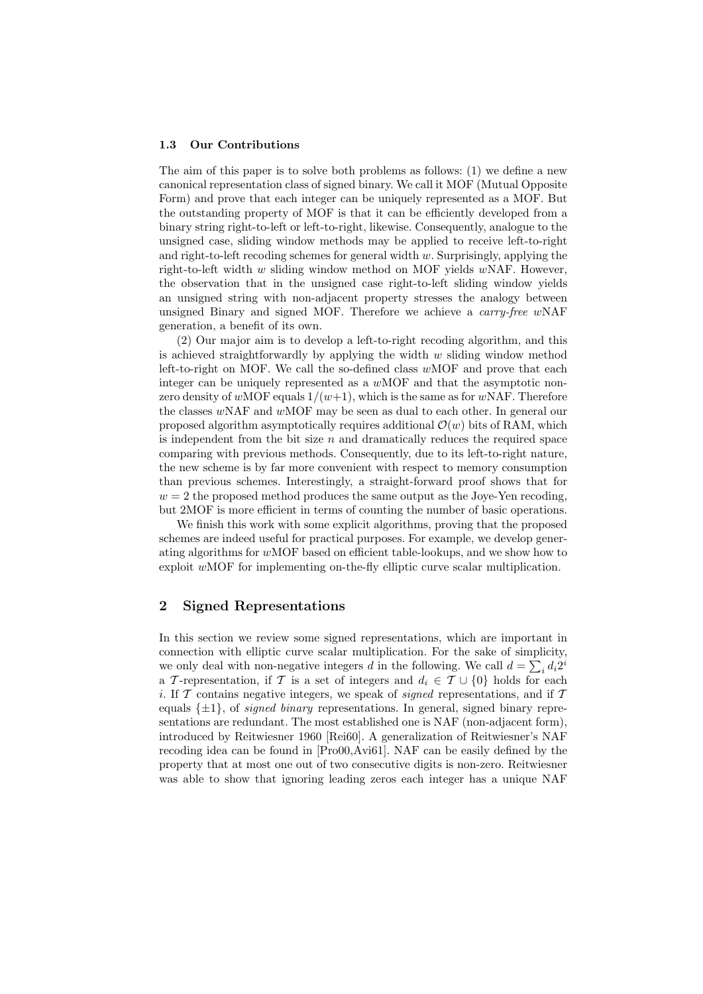### 1.3 Our Contributions

The aim of this paper is to solve both problems as follows: (1) we define a new canonical representation class of signed binary. We call it MOF (Mutual Opposite Form) and prove that each integer can be uniquely represented as a MOF. But the outstanding property of MOF is that it can be efficiently developed from a binary string right-to-left or left-to-right, likewise. Consequently, analogue to the unsigned case, sliding window methods may be applied to receive left-to-right and right-to-left recoding schemes for general width  $w$ . Surprisingly, applying the right-to-left width w sliding window method on MOF yields wNAF. However, the observation that in the unsigned case right-to-left sliding window yields an unsigned string with non-adjacent property stresses the analogy between unsigned Binary and signed MOF. Therefore we achieve a *carry-free wNAF* generation, a benefit of its own.

(2) Our major aim is to develop a left-to-right recoding algorithm, and this is achieved straightforwardly by applying the width  $w$  sliding window method left-to-right on MOF. We call the so-defined class  $w$ MOF and prove that each integer can be uniquely represented as a wMOF and that the asymptotic nonzero density of wMOF equals  $1/(w+1)$ , which is the same as for wNAF. Therefore the classes  $wNAF$  and  $wMOF$  may be seen as dual to each other. In general our proposed algorithm asymptotically requires additional  $\mathcal{O}(w)$  bits of RAM, which is independent from the bit size  $n$  and dramatically reduces the required space comparing with previous methods. Consequently, due to its left-to-right nature, the new scheme is by far more convenient with respect to memory consumption than previous schemes. Interestingly, a straight-forward proof shows that for  $w = 2$  the proposed method produces the same output as the Joye-Yen recoding, but 2MOF is more efficient in terms of counting the number of basic operations.

We finish this work with some explicit algorithms, proving that the proposed schemes are indeed useful for practical purposes. For example, we develop generating algorithms for  $w\text{MOF}$  based on efficient table-lookups, and we show how to exploit wMOF for implementing on-the-fly elliptic curve scalar multiplication.

### 2 Signed Representations

In this section we review some signed representations, which are important in connection with elliptic curve scalar multiplication. For the sake of simplicity, we only deal with non-negative integers  $d$  in the following. We call  $d = \sum_i d_i 2^i$ a T-representation, if T is a set of integers and  $d_i \in T \cup \{0\}$  holds for each i. If  $\mathcal T$  contains negative integers, we speak of *signed* representations, and if  $\mathcal T$ equals  $\{\pm 1\}$ , of *signed binary* representations. In general, signed binary representations are redundant. The most established one is NAF (non-adjacent form), introduced by Reitwiesner 1960 [Rei60]. A generalization of Reitwiesner's NAF recoding idea can be found in [Pro00,Avi61]. NAF can be easily defined by the property that at most one out of two consecutive digits is non-zero. Reitwiesner was able to show that ignoring leading zeros each integer has a unique NAF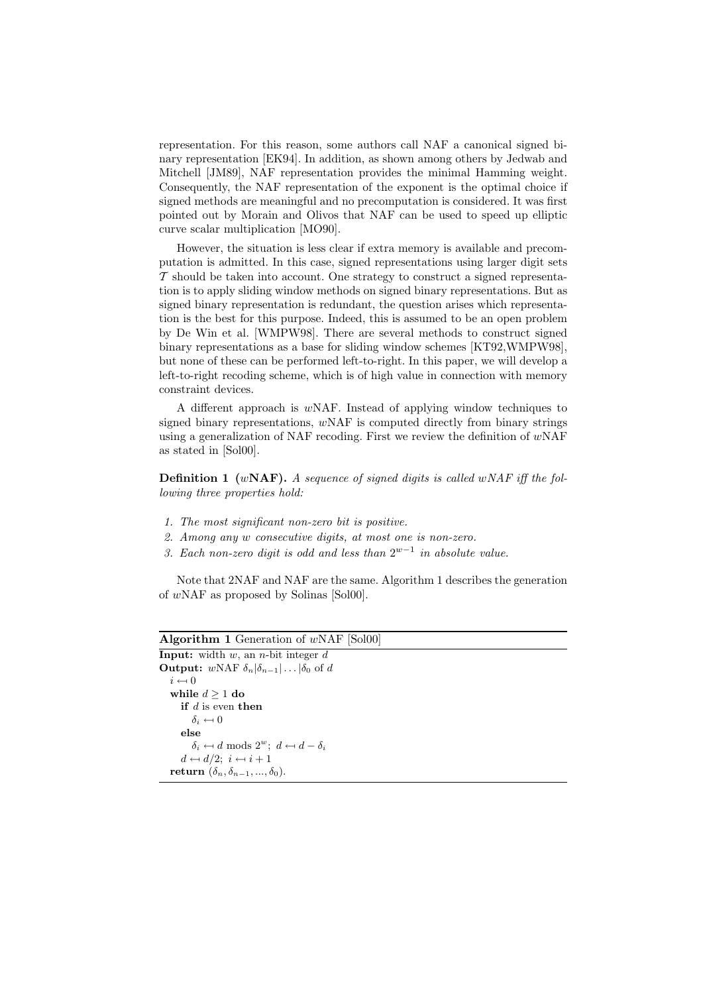representation. For this reason, some authors call NAF a canonical signed binary representation [EK94]. In addition, as shown among others by Jedwab and Mitchell [JM89], NAF representation provides the minimal Hamming weight. Consequently, the NAF representation of the exponent is the optimal choice if signed methods are meaningful and no precomputation is considered. It was first pointed out by Morain and Olivos that NAF can be used to speed up elliptic curve scalar multiplication [MO90].

However, the situation is less clear if extra memory is available and precomputation is admitted. In this case, signed representations using larger digit sets  $\mathcal T$  should be taken into account. One strategy to construct a signed representation is to apply sliding window methods on signed binary representations. But as signed binary representation is redundant, the question arises which representation is the best for this purpose. Indeed, this is assumed to be an open problem by De Win et al. [WMPW98]. There are several methods to construct signed binary representations as a base for sliding window schemes [KT92,WMPW98], but none of these can be performed left-to-right. In this paper, we will develop a left-to-right recoding scheme, which is of high value in connection with memory constraint devices.

A different approach is wNAF. Instead of applying window techniques to signed binary representations,  $wNAF$  is computed directly from binary strings using a generalization of NAF recoding. First we review the definition of  $wNAF$ as stated in [Sol00].

**Definition 1** (wNAF). A sequence of signed digits is called wNAF iff the following three properties hold:

1. The most significant non-zero bit is positive.

return  $(\delta_n, \delta_{n-1}, ..., \delta_0)$ .

- 2. Among any w consecutive digits, at most one is non-zero.
- 3. Each non-zero digit is odd and less than  $2^{w-1}$  in absolute value.

Note that 2NAF and NAF are the same. Algorithm 1 describes the generation of wNAF as proposed by Solinas [Sol00].

### Algorithm 1 Generation of wNAF [Sol00] **Input:** width  $w$ , an *n*-bit integer  $d$ **Output:** wNAF  $\delta_n|\delta_{n-1}| \dots |\delta_0$  of d  $i \leftarrow 0$ while  $d \geq 1$  do if  $d$  is even then  $\delta_i \leftarrow 0$ else  $\delta_i \leftarrow d$  mods  $2^w$ ;  $d \leftarrow d - \delta_i$  $d \leftarrow d/2; i \leftarrow i + 1$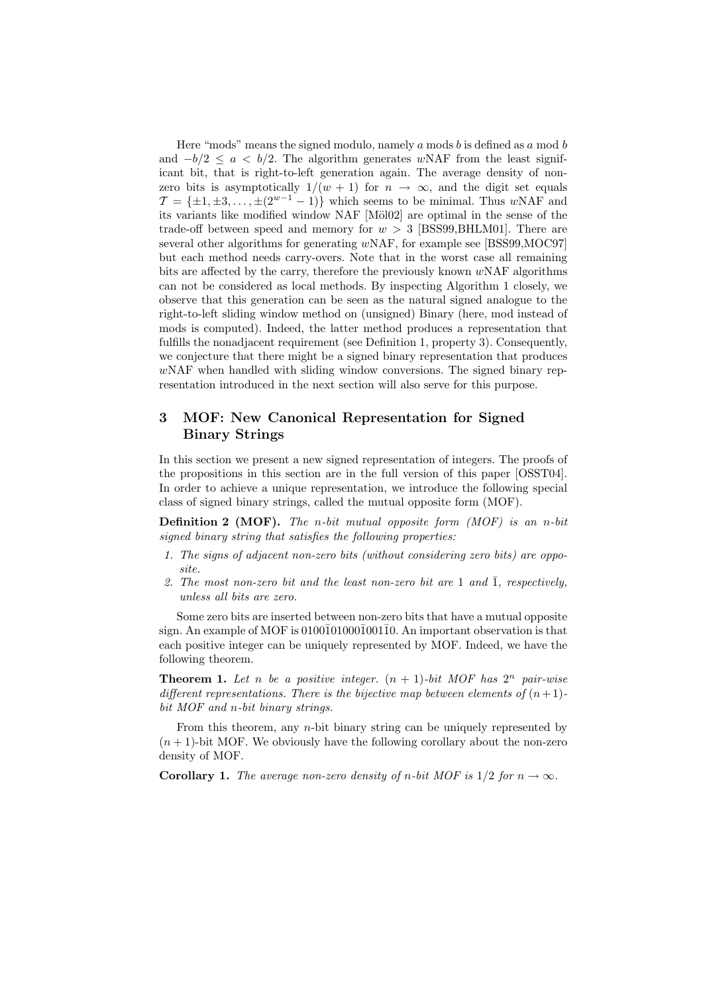Here "mods" means the signed modulo, namely  $a$  mods  $b$  is defined as  $a$  mod  $b$ and  $-b/2 \le a \le b/2$ . The algorithm generates wNAF from the least significant bit, that is right-to-left generation again. The average density of nonzero bits is asymptotically  $1/(w + 1)$  for  $n \to \infty$ , and the digit set equals  $\mathcal{T} = {\pm 1, \pm 3, \ldots, \pm (2^{w-1}-1)}$  which seems to be minimal. Thus wNAF and its variants like modified window NAF [Möl02] are optimal in the sense of the trade-off between speed and memory for  $w > 3$  [BSS99,BHLM01]. There are several other algorithms for generating wNAF, for example see [BSS99,MOC97] but each method needs carry-overs. Note that in the worst case all remaining bits are affected by the carry, therefore the previously known  $w<sub>N</sub>$  algorithms can not be considered as local methods. By inspecting Algorithm 1 closely, we observe that this generation can be seen as the natural signed analogue to the right-to-left sliding window method on (unsigned) Binary (here, mod instead of mods is computed). Indeed, the latter method produces a representation that fulfills the nonadjacent requirement (see Definition 1, property 3). Consequently, we conjecture that there might be a signed binary representation that produces  $w<sub>N</sub>AF$  when handled with sliding window conversions. The signed binary representation introduced in the next section will also serve for this purpose.

## 3 MOF: New Canonical Representation for Signed Binary Strings

In this section we present a new signed representation of integers. The proofs of the propositions in this section are in the full version of this paper [OSST04]. In order to achieve a unique representation, we introduce the following special class of signed binary strings, called the mutual opposite form (MOF).

**Definition 2 (MOF).** The n-bit mutual opposite form  $(MOF)$  is an n-bit signed binary string that satisfies the following properties:

- 1. The signs of adjacent non-zero bits (without considering zero bits) are opposite.
- 2. The most non-zero bit and the least non-zero bit are 1 and  $\overline{1}$ , respectively, unless all bits are zero.

Some zero bits are inserted between non-zero bits that have a mutual opposite sign. An example of MOF is  $0100\overline{1}01000\overline{1}001\overline{1}0$ . An important observation is that each positive integer can be uniquely represented by MOF. Indeed, we have the following theorem.

**Theorem 1.** Let n be a positive integer.  $(n + 1)$ -bit MOF has  $2^n$  pair-wise different representations. There is the bijective map between elements of  $(n+1)$ bit MOF and n-bit binary strings.

From this theorem, any  $n$ -bit binary string can be uniquely represented by  $(n + 1)$ -bit MOF. We obviously have the following corollary about the non-zero density of MOF.

**Corollary 1.** The average non-zero density of n-bit MOF is  $1/2$  for  $n \to \infty$ .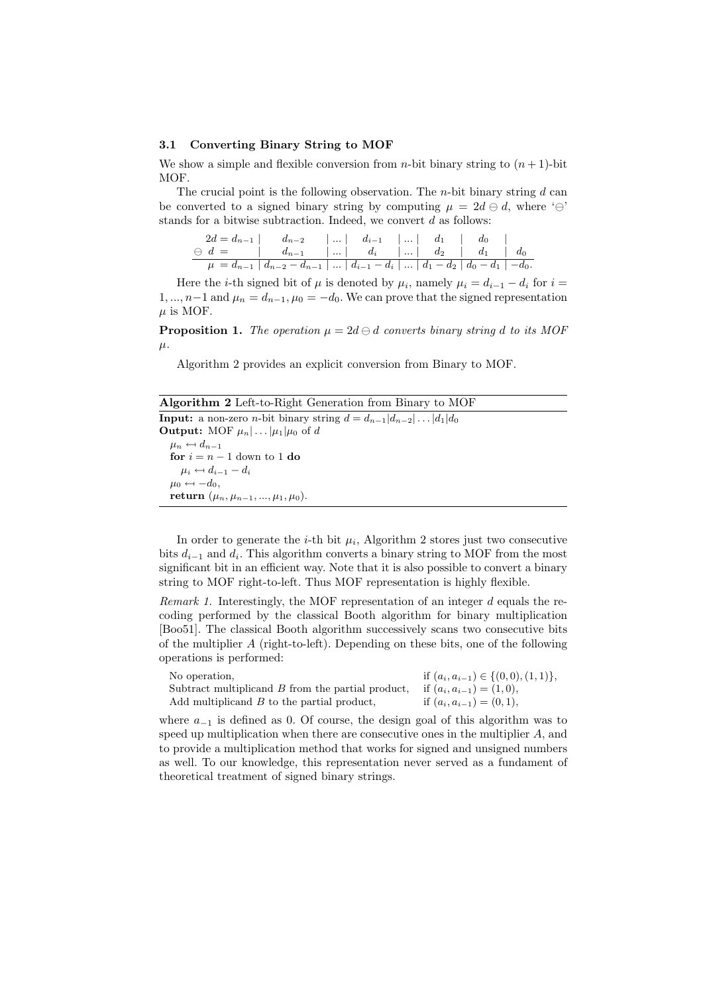### 3.1 Converting Binary String to MOF

We show a simple and flexible conversion from *n*-bit binary string to  $(n + 1)$ -bit MOF.

The crucial point is the following observation. The *n*-bit binary string d can be converted to a signed binary string by computing  $\mu = 2d \ominus d$ , where ' $\ominus$ ' stands for a bitwise subtraction. Indeed, we convert  $d$  as follows:

|  | $2d = d_{n-1}$   $d_{n-2}$      $d_{i-1}$      $d_1$   $d_0$                                                             |  |  |  |
|--|--------------------------------------------------------------------------------------------------------------------------|--|--|--|
|  | $\Theta$ $d = \begin{vmatrix} d_{n-1} & \dots & d_i \end{vmatrix}$ $\dots \begin{vmatrix} d_2 & d_1 \end{vmatrix}$ $d_0$ |  |  |  |
|  | $\mu = d_{n-1}   d_{n-2} - d_{n-1}      d_{i-1} - d_i      d_1 - d_2   d_0 - d_1   -d_0.$                                |  |  |  |

Here the *i*-th signed bit of  $\mu$  is denoted by  $\mu_i$ , namely  $\mu_i = d_{i-1} - d_i$  for  $i =$  $1, ..., n-1$  and  $\mu_n = d_{n-1}, \mu_0 = -d_0$ . We can prove that the signed representation  $\mu$  is MOF.

**Proposition 1.** The operation  $\mu = 2d \ominus d$  converts binary string d to its MOF  $\mu$ .

Algorithm 2 provides an explicit conversion from Binary to MOF.

Algorithm 2 Left-to-Right Generation from Binary to MOF

**Input:** a non-zero *n*-bit binary string  $d = d_{n-1}|d_{n-2}| \dots |d_1|d_0$ **Output:** MOF  $\mu_n | \dots | \mu_1 | \mu_0$  of d  $\mu_n \leftarrow d_{n-1}$ for  $i = n - 1$  down to 1 do  $\mu_i \leftarrow d_{i-1} - d_i$  $\mu_0 \leftarrow -d_0,$ return  $(\mu_n, \mu_{n-1}, ..., \mu_1, \mu_0)$ .

In order to generate the *i*-th bit  $\mu_i$ , Algorithm 2 stores just two consecutive bits  $d_{i-1}$  and  $d_i$ . This algorithm converts a binary string to MOF from the most significant bit in an efficient way. Note that it is also possible to convert a binary string to MOF right-to-left. Thus MOF representation is highly flexible.

Remark 1. Interestingly, the MOF representation of an integer d equals the recoding performed by the classical Booth algorithm for binary multiplication [Boo51]. The classical Booth algorithm successively scans two consecutive bits of the multiplier A (right-to-left). Depending on these bits, one of the following operations is performed:

| No operation,                                       | if $(a_i, a_{i-1}) \in \{(0,0), (1,1)\},\$ |
|-----------------------------------------------------|--------------------------------------------|
| Subtract multiplicand $B$ from the partial product, | if $(a_i, a_{i-1}) = (1, 0)$ ,             |
| Add multiplicand $B$ to the partial product,        | if $(a_i, a_{i-1}) = (0, 1),$              |

where  $a_{-1}$  is defined as 0. Of course, the design goal of this algorithm was to speed up multiplication when there are consecutive ones in the multiplier A, and to provide a multiplication method that works for signed and unsigned numbers as well. To our knowledge, this representation never served as a fundament of theoretical treatment of signed binary strings.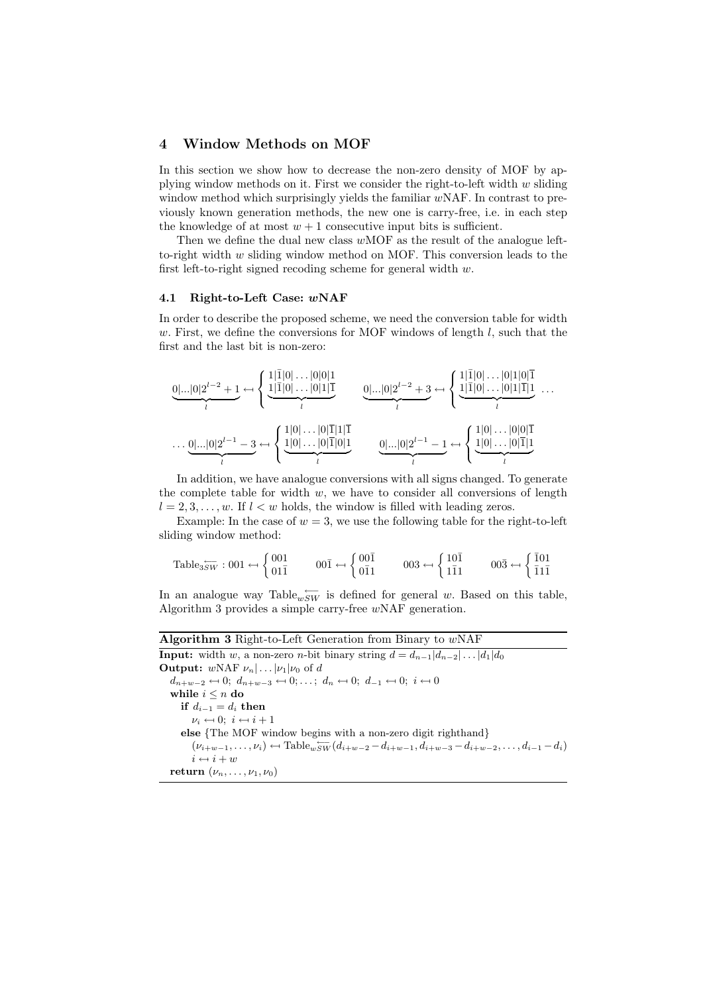## 4 Window Methods on MOF

In this section we show how to decrease the non-zero density of MOF by applying window methods on it. First we consider the right-to-left width  $w$  sliding window method which surprisingly yields the familiar wNAF. In contrast to previously known generation methods, the new one is carry-free, i.e. in each step the knowledge of at most  $w + 1$  consecutive input bits is sufficient.

Then we define the dual new class wMOF as the result of the analogue leftto-right width  $w$  sliding window method on MOF. This conversion leads to the first left-to-right signed recoding scheme for general width w.

### 4.1 Right-to-Left Case: wNAF

In order to describe the proposed scheme, we need the conversion table for width  $w$ . First, we define the conversions for MOF windows of length  $l$ , such that the first and the last bit is non-zero:

$$
\underbrace{0|\dots|0|2^{l-2}+1}_{l} \leftarrow \left\{ \underbrace{\frac{1|\overline{1}|0|\dots|0|0|1}{l}}_{l} \underbrace{0|\dots|0|2^{l-2}+3}_{l} \leftarrow \left\{ \frac{1|\overline{1}|0|\dots|0|1|\overline{1}}{l} \right.\right.\right. \\ \underbrace{0|\dots|0|2^{l-2}+3}_{l} \leftarrow \left\{ \frac{1|\overline{1}|0|\dots|0|1|\overline{1}|}{l} \right.\right. \\ \underbrace{0|\dots|0|2^{l-2}+3}_{l} \leftarrow \left\{ \frac{1|\overline{1}|0|\dots|0|1|\overline{1}|}{l} \right.\right. \\ \underbrace{0|\dots|0|2^{l-1}-1}_{l} \leftarrow \left\{ \frac{1|0|\dots|0|0|\overline{1}}{l} \right.\right. \\ \underbrace{0|\dots|0|2^{l-1}-1}_{l} \leftarrow \left\{ \frac{1|0|\dots|0|0|\overline{1}}{l} \right.\right.
$$

In addition, we have analogue conversions with all signs changed. To generate the complete table for width  $w$ , we have to consider all conversions of length  $l = 2, 3, \ldots, w$ . If  $l < w$  holds, the window is filled with leading zeros.

Example: In the case of  $w = 3$ , we use the following table for the right-to-left sliding window method:

$$
\text{Table}_{3\textcolor{red}{S\textcolor{black}{W}}} : 001 \leftarrow \left\{ \begin{matrix} 001 \\ 01\bar{1} \end{matrix} \quad \quad 00\bar{1} \leftarrow \left\{ \begin{matrix} 00\bar{1} \\ 0\bar{1}1 \end{matrix} \quad \quad 003 \leftarrow \left\{ \begin{matrix} 10\bar{1} \\ 1\bar{1}1 \end{matrix} \quad \quad 00\bar{3} \leftarrow \left\{ \begin{matrix} \bar{1}01 \\ \bar{1}1\bar{1} \end{matrix} \right\} \right. \right. \right. \nonumber
$$

In an analogue way Table  $\overline{wSW}$  is defined for general w. Based on this table, Algorithm 3 provides a simple carry-free wNAF generation.

| <b>Algorithm 3</b> Right-to-Left Generation from Binary to $wNAF$                                                                           |
|---------------------------------------------------------------------------------------------------------------------------------------------|
| <b>Input:</b> width w, a non-zero <i>n</i> -bit binary string $d = d_{n-1}   d_{n-2}   \dots   d_1   d_0$                                   |
| <b>Output:</b> wNAF $\nu_n$ $ \nu_1  \nu_0$ of d                                                                                            |
| $d_{n+w-2} \leftarrow 0; d_{n+w-3} \leftarrow 0; \ldots; d_n \leftarrow 0; d_{-1} \leftarrow 0; i \leftarrow 0$                             |
| while $i \leq n$ do                                                                                                                         |
| if $d_{i-1} = d_i$ then                                                                                                                     |
| $\nu_i \leftarrow 0$ ; $i \leftarrow i+1$                                                                                                   |
| <b>else</b> {The MOF window begins with a non-zero digit righthand}                                                                         |
| $(\nu_{i+w-1},\ldots,\nu_i) \leftarrow \text{Table}_{w} \overline{\varsigma_W}(d_{i+w-2}-d_{i+w-1},d_{i+w-3}-d_{i+w-2},\ldots,d_{i-1}-d_i)$ |
| $i \leftarrow i + w$                                                                                                                        |
| return $(\nu_n,\ldots,\nu_1,\nu_0)$                                                                                                         |
|                                                                                                                                             |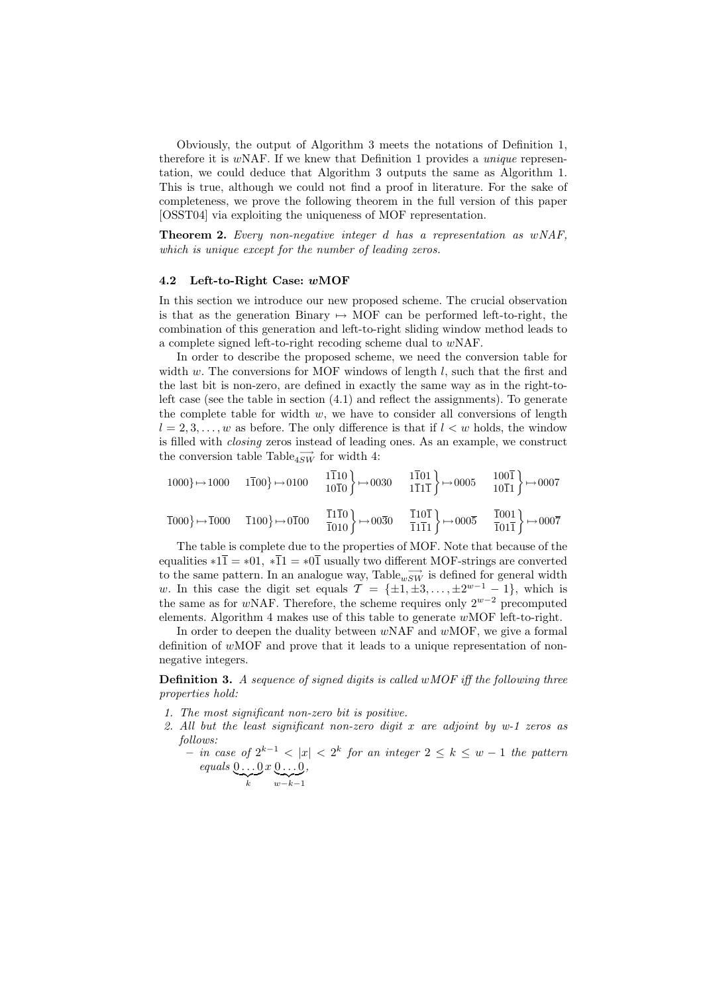Obviously, the output of Algorithm 3 meets the notations of Definition 1, therefore it is  $wNAF$ . If we knew that Definition 1 provides a *unique* representation, we could deduce that Algorithm 3 outputs the same as Algorithm 1. This is true, although we could not find a proof in literature. For the sake of completeness, we prove the following theorem in the full version of this paper [OSST04] via exploiting the uniqueness of MOF representation.

**Theorem 2.** Every non-negative integer d has a representation as  $wNAF$ , which is unique except for the number of leading zeros.

#### 4.2 Left-to-Right Case: wMOF

In this section we introduce our new proposed scheme. The crucial observation is that as the generation Binary  $\mapsto$  MOF can be performed left-to-right, the combination of this generation and left-to-right sliding window method leads to a complete signed left-to-right recoding scheme dual to wNAF.

In order to describe the proposed scheme, we need the conversion table for width w. The conversions for MOF windows of length  $l$ , such that the first and the last bit is non-zero, are defined in exactly the same way as in the right-toleft case (see the table in section (4.1) and reflect the assignments). To generate the complete table for width  $w$ , we have to consider all conversions of length  $l = 2, 3, \ldots, w$  as before. The only difference is that if  $l < w$  holds, the window is filled with closing zeros instead of leading ones. As an example, we construct the conversion table Table  $\overrightarrow{4SW}$  for width 4:

$$
1000\} \mapsto 1000 \qquad 1\overline{1}00\} \mapsto 0100 \qquad \frac{1\overline{1}10}{10\overline{1}0}\} \mapsto 0030 \qquad \frac{1\overline{1}01}{1\overline{1}1\overline{1}} \right\} \mapsto 0005 \qquad \frac{100\overline{1}}{10\overline{1}1}\} \mapsto 0007
$$

$$
\overline{1}000\} \mapsto \overline{1}000 \qquad \overline{1}100\} \mapsto 0\overline{1}00 \qquad \frac{\overline{1}1\overline{1}0}{\overline{1}010}\} \mapsto 00\overline{3}0 \qquad \frac{\overline{1}10\overline{1}}{\overline{1}1\overline{1}1}\} \mapsto 000\overline{5} \qquad \frac{\overline{1}001}{\overline{1}01\overline{1}} \mapsto 000\overline{7}
$$

The table is complete due to the properties of MOF. Note that because of the equalities  $*1\overline{1} = *01$ ,  $*\overline{1}1 = *0\overline{1}$  usually two different MOF-strings are converted to the same pattern. In an analogue way, Table  $\overrightarrow{w_{SW}}$  is defined for general width w. In this case the digit set equals  $\mathcal{T} = {\pm 1, \pm 3, ..., \pm 2^{w-1} - 1}$ , which is the same as for wNAF. Therefore, the scheme requires only  $2^{w-2}$  precomputed elements. Algorithm 4 makes use of this table to generate wMOF left-to-right.

In order to deepen the duality between  $wNAF$  and  $wMOF$ , we give a formal definition of wMOF and prove that it leads to a unique representation of nonnegative integers.

**Definition 3.** A sequence of signed digits is called  $wMOF$  iff the following three properties hold:

- 1. The most significant non-zero bit is positive.
- 2. All but the least significant non-zero digit  $x$  are adjoint by w-1 zeros as follows:
	- $-$  in case of  $2^{k-1}$  < |x| <  $2^k$  for an integer  $2 \leq k \leq w-1$  the pattern equals  $[0 \dots 0]$  $\sum_{k}$  $x\,0\ldots0$  $\sum_{w-k-1}$ ,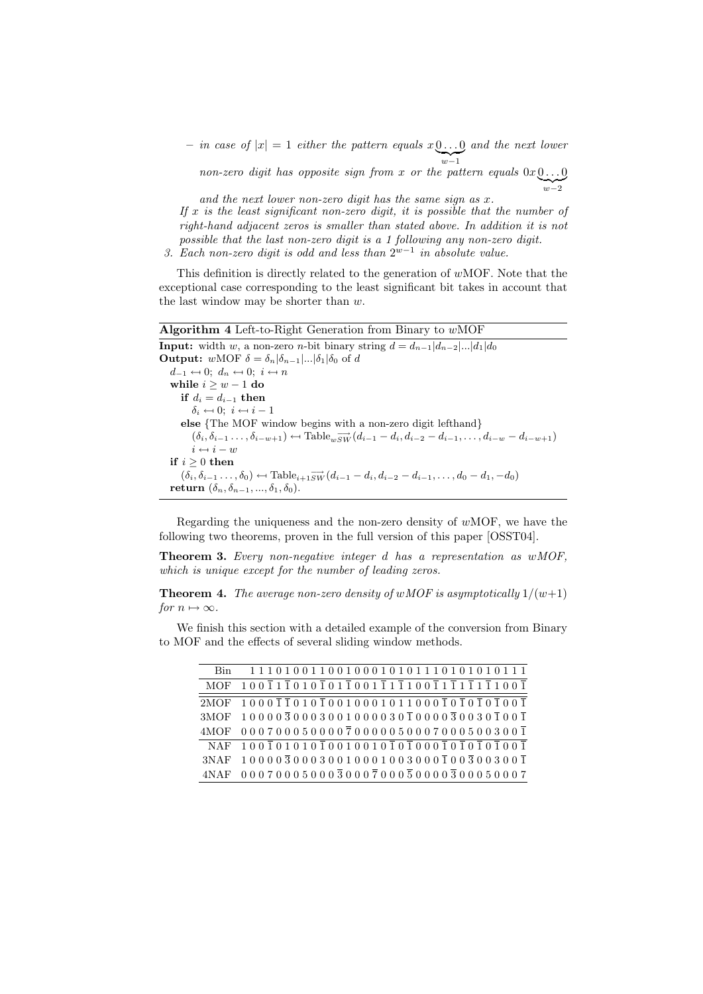- in case of  $|x| = 1$  either the pattern equals  $x \, 0 \ldots 0$  and the next lower  $\sum_{w-1}$ non-zero digit has opposite sign from x or the pattern equals  $0x0...0$  $\sum_{w-2}$ 

and the next lower non-zero digit has the same sign as  $x$ . If x is the least significant non-zero digit, it is possible that the number of right-hand adjacent zeros is smaller than stated above. In addition it is not possible that the last non-zero digit is a 1 following any non-zero digit.

3. Each non-zero digit is odd and less than  $2^{w-1}$  in absolute value.

This definition is directly related to the generation of wMOF. Note that the exceptional case corresponding to the least significant bit takes in account that the last window may be shorter than w.

Algorithm 4 Left-to-Right Generation from Binary to wMOF

**Input:** width w, a non-zero n-bit binary string  $d = d_{n-1}|d_{n-2}|...|d_1|d_0$ **Output:** wMOF  $\delta = \delta_n |\delta_{n-1}| ... |\delta_1| \delta_0$  of d  $d_{-1} \leftarrow 0; d_n \leftarrow 0; i \leftarrow n$ while  $i\geq w-1$ do if  $d_i = d_{i-1}$  then  $\delta_i \leftarrow 0; i \leftarrow i - 1$ else {The MOF window begins with a non-zero digit lefthand}  $(\delta_i, \delta_{i-1}, \ldots, \delta_{i-w+1}) \leftarrow \text{Table}_{wSW}(d_{i-1} - d_i, d_{i-2} - d_{i-1}, \ldots, d_{i-w} - d_{i-w+1})$  $i \leftarrow i - w$ if  $i \geq 0$  then  $(\delta_i, \delta_{i-1}, \ldots, \delta_0) \leftarrow \text{Table}_{i+1}\overrightarrow{sw}(d_{i-1} - d_i, d_{i-2} - d_{i-1}, \ldots, d_0 - d_1, -d_0)$ return  $(\delta_n, \delta_{n-1}, ..., \delta_1, \delta_0)$ .

Regarding the uniqueness and the non-zero density of  $wMOF$ , we have the following two theorems, proven in the full version of this paper [OSST04].

Theorem 3. Every non-negative integer d has a representation as wMOF, which is unique except for the number of leading zeros.

**Theorem 4.** The average non-zero density of wMOF is asymptotically  $1/(w+1)$ for  $n \mapsto \infty$ .

We finish this section with a detailed example of the conversion from Binary to MOF and the effects of several sliding window methods.

| Bin   | 11101001100100010101110101010111                                                                                                                                                                                                                                                                                                                                                                                                                                                                      |
|-------|-------------------------------------------------------------------------------------------------------------------------------------------------------------------------------------------------------------------------------------------------------------------------------------------------------------------------------------------------------------------------------------------------------------------------------------------------------------------------------------------------------|
|       | MOF $100\overline{11}1\overline{1010}\overline{101}\overline{101}\overline{1001}1\overline{1100}\overline{11}\overline{111}\overline{11}\overline{1100}\overline{1}$                                                                                                                                                                                                                                                                                                                                  |
|       | $\frac{}{2\mathrm{MOF}}{\phantom{2\mathrm{MOF}}\phantom{}1\phantom{}0\phantom{}0\phantom{}0\phantom{}0\phantom{}1\phantom{}1\phantom{}0\phantom{}0\phantom{}1\phantom{}0\phantom{}1\phantom{}0\phantom{}0\phantom{}1\phantom{}0\phantom{}0\phantom{}1\phantom{}0\phantom{}0\phantom{}1\phantom{}0\phantom{}0\phantom{}1\phantom{}0\phantom{}0\phantom{}1\phantom{}0\phantom{}0\phantom{}1\phantom{}0\phantom{}0\phantom{}1\phantom{}0\phantom{}1\phantom{}0\phantom{}0\phantom{}1\phantom{}0\phantom$ |
|       | $3MOF$ 100003000300100003010000300300301001                                                                                                                                                                                                                                                                                                                                                                                                                                                           |
| 4MOF. | $0\ 0\ 0\ 7\ 0\ 0\ 0\ 5\ 0\ 0\ 0\ 0\ \overline{7}\ 0\ 0\ 0\ 0\ 0\ 5\ 0\ 0\ 0\ 7\ 0\ 0\ 0\ 5\ 0\ 0\ 3\ 0\ 0\ \overline{1}$                                                                                                                                                                                                                                                                                                                                                                             |
| NAF   |                                                                                                                                                                                                                                                                                                                                                                                                                                                                                                       |
| 3NAF  | $1\ 0\ 0\ 0\ 0\ \overline{3}\ 0\ 0\ 0\ 3\ 0\ 0\ 1\ 0\ 0\ 0\ 1\ 0\ 0\ 3\ 0\ 0\ 0\ \overline{1}\ 0\ 0\ \overline{3}\ 0\ 0\ 3\ 0\ 0\ \overline{1}$                                                                                                                                                                                                                                                                                                                                                       |
|       | 4NAF 000700050003000700050000300050007                                                                                                                                                                                                                                                                                                                                                                                                                                                                |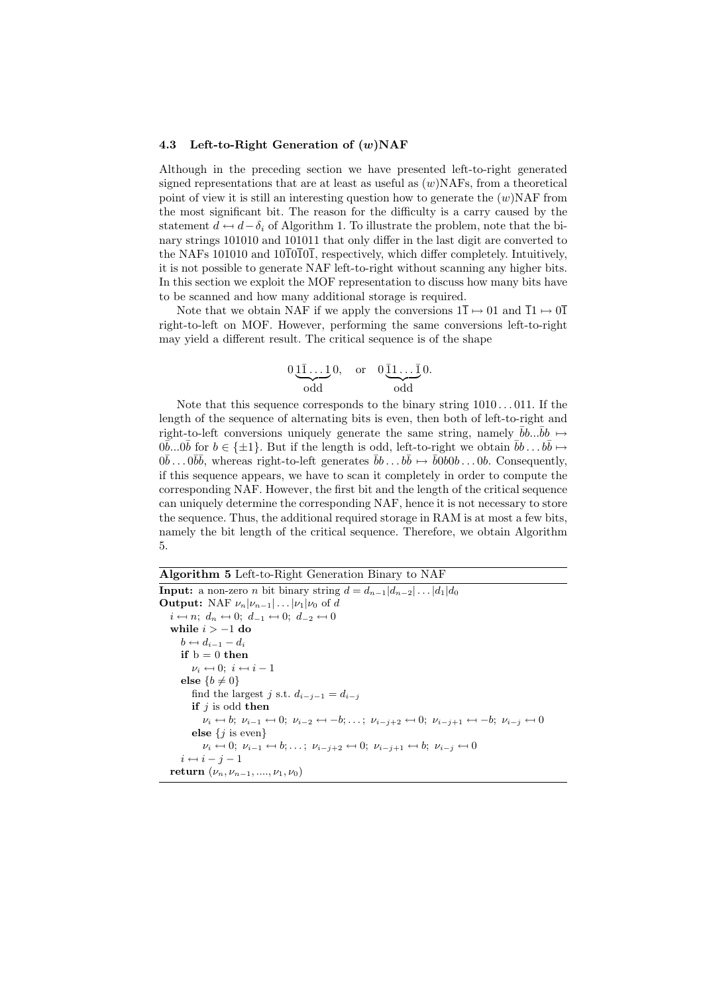#### 4.3 Left-to-Right Generation of  $(w)$ NAF

Although in the preceding section we have presented left-to-right generated signed representations that are at least as useful as  $(w)$ NAFs, from a theoretical point of view it is still an interesting question how to generate the  $(w)$ NAF from the most significant bit. The reason for the difficulty is a carry caused by the statement  $d \leftarrow d - \delta_i$  of Algorithm 1. To illustrate the problem, note that the binary strings 101010 and 101011 that only differ in the last digit are converted to the NAFs 101010 and  $10\overline{10101}$ , respectively, which differ completely. Intuitively, it is not possible to generate NAF left-to-right without scanning any higher bits. In this section we exploit the MOF representation to discuss how many bits have to be scanned and how many additional storage is required.

Note that we obtain NAF if we apply the conversions  $1\overline{1} \mapsto 01$  and  $1\overline{1} \mapsto 0\overline{1}$ right-to-left on MOF. However, performing the same conversions left-to-right may yield a different result. The critical sequence is of the shape

$$
0\underbrace{1\overline{1}\dots 1}_{\text{odd}}0, \quad \text{or} \quad 0\underbrace{\overline{1}\overline{1}\dots \overline{1}}_{\text{odd}}0.
$$

Note that this sequence corresponds to the binary string  $1010 \ldots 011$ . If the length of the sequence of alternating bits is even, then both of left-to-right and right-to-left conversions uniquely generate the same string, namely  $bbi$ ... $bb \rightarrow$  $0\bar{b}...0\bar{b}$  for  $b \in {\pm 1}$ . But if the length is odd, left-to-right we obtain  $\bar{b}b...b\bar{b} \mapsto$  $0\bar{b}\dots 0\bar{b}\bar{b}$ , whereas right-to-left generates  $\bar{b}b\dots b\bar{b} \mapsto \bar{b}0\bar{b}0b\dots 0b$ . Consequently, if this sequence appears, we have to scan it completely in order to compute the corresponding NAF. However, the first bit and the length of the critical sequence can uniquely determine the corresponding NAF, hence it is not necessary to store the sequence. Thus, the additional required storage in RAM is at most a few bits, namely the bit length of the critical sequence. Therefore, we obtain Algorithm 5.

Algorithm 5 Left-to-Right Generation Binary to NAF

```
Input: a non-zero n bit binary string d = d_{n-1}|d_{n-2}| \dots |d_1|d_0Output: NAF \nu_n|\nu_{n-1}|\ldots|\nu_1|\nu_0 of d
 i \leftarrow n; d_n \leftarrow 0; d_{-1} \leftarrow 0; d_{-2} \leftarrow 0while i > -1 do
     b \leftarrow d_{i-1} - d_iif b = 0 then
         \nu_i \leftarrow 0; \ i \leftarrow i - 1else {b \neq 0}find the largest j s.t. d_{i-j-1} = d_{i-j}if j is odd then
            \nu_i \leftarrow b; \ \nu_{i-1} \leftarrow 0; \ \nu_{i-2} \leftarrow b; \ldots; \ \nu_{i-j+2} \leftarrow 0; \ \nu_{i-j+1} \leftarrow b; \ \nu_{i-j} \leftarrow 0else \{j \text{ is even}\}\\nu_i \leftarrow 0; \ \nu_{i-1} \leftarrow b; \ldots; \ \nu_{i-j+2} \leftarrow 0; \ \nu_{i-j+1} \leftarrow b; \ \nu_{i-j} \leftarrow 0i \leftarrow i - j - 1return (\nu_n, \nu_{n-1}, ..., \nu_1, \nu_0)
```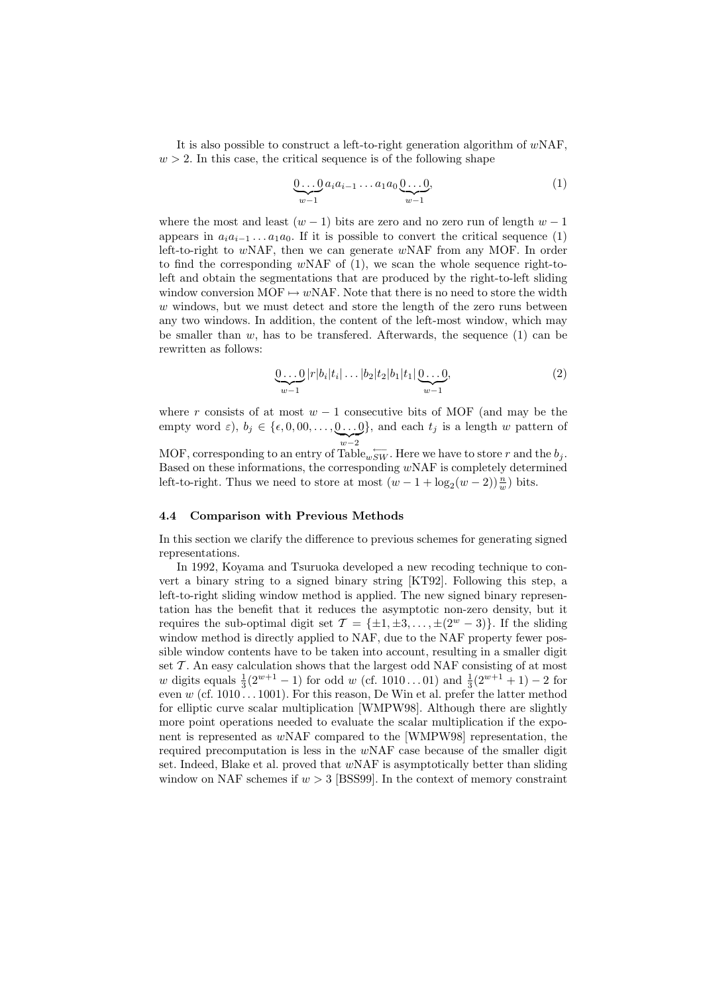It is also possible to construct a left-to-right generation algorithm of wNAF,  $w > 2$ . In this case, the critical sequence is of the following shape

$$
\underbrace{0\ldots 0}_{w-1} a_i a_{i-1} \ldots a_1 a_0 \underbrace{0\ldots 0}_{w-1},\tag{1}
$$

where the most and least  $(w - 1)$  bits are zero and no zero run of length  $w - 1$ appears in  $a_i a_{i-1} \ldots a_1 a_0$ . If it is possible to convert the critical sequence (1) left-to-right to wNAF, then we can generate wNAF from any MOF. In order to find the corresponding  $wNAF$  of (1), we scan the whole sequence right-toleft and obtain the segmentations that are produced by the right-to-left sliding window conversion MOF  $\mapsto wNAF$ . Note that there is no need to store the width  $w$  windows, but we must detect and store the length of the zero runs between any two windows. In addition, the content of the left-most window, which may be smaller than  $w$ , has to be transferred. Afterwards, the sequence  $(1)$  can be rewritten as follows:

$$
\underbrace{0\ldots 0}_{w-1}|r|b_i|t_i|\ldots|b_2|t_2|b_1|t_1|\underbrace{0\ldots 0}_{w-1},\tag{2}
$$

where r consists of at most  $w - 1$  consecutive bits of MOF (and may be the empty word  $\varepsilon$ ),  $b_j \in \{\epsilon, 0, 00, \ldots, \underline{0} \ldots \underline{0} \}$  $\sum_{w-2}$  $\}$ , and each  $t_j$  is a length w pattern of

MOF, corresponding to an entry of Table  $\overleftarrow{v_{SW}}$ . Here we have to store r and the  $b_j$ . Based on these informations, the corresponding  $wNAF$  is completely determined left-to-right. Thus we need to store at most  $(w - 1 + \log_2(w - 2))\frac{n}{w})$  bits.

### 4.4 Comparison with Previous Methods

In this section we clarify the difference to previous schemes for generating signed representations.

In 1992, Koyama and Tsuruoka developed a new recoding technique to convert a binary string to a signed binary string [KT92]. Following this step, a left-to-right sliding window method is applied. The new signed binary representation has the benefit that it reduces the asymptotic non-zero density, but it requires the sub-optimal digit set  $\mathcal{T} = {\pm 1, \pm 3, ..., \pm (2^w - 3)}$ . If the sliding window method is directly applied to NAF, due to the NAF property fewer possible window contents have to be taken into account, resulting in a smaller digit set  $\mathcal T$ . An easy calculation shows that the largest odd NAF consisting of at most w digits equals  $\frac{1}{3}(2^{w+1}-1)$  for odd w (cf. 1010...01) and  $\frac{1}{3}(2^{w+1}+1)-2$  for even  $w$  (cf. 1010...1001). For this reason, De Win et al. prefer the latter method for elliptic curve scalar multiplication [WMPW98]. Although there are slightly more point operations needed to evaluate the scalar multiplication if the exponent is represented as wNAF compared to the [WMPW98] representation, the required precomputation is less in the  $wNAF$  case because of the smaller digit set. Indeed, Blake et al. proved that  $wNAF$  is asymptotically better than sliding window on NAF schemes if  $w > 3$  [BSS99]. In the context of memory constraint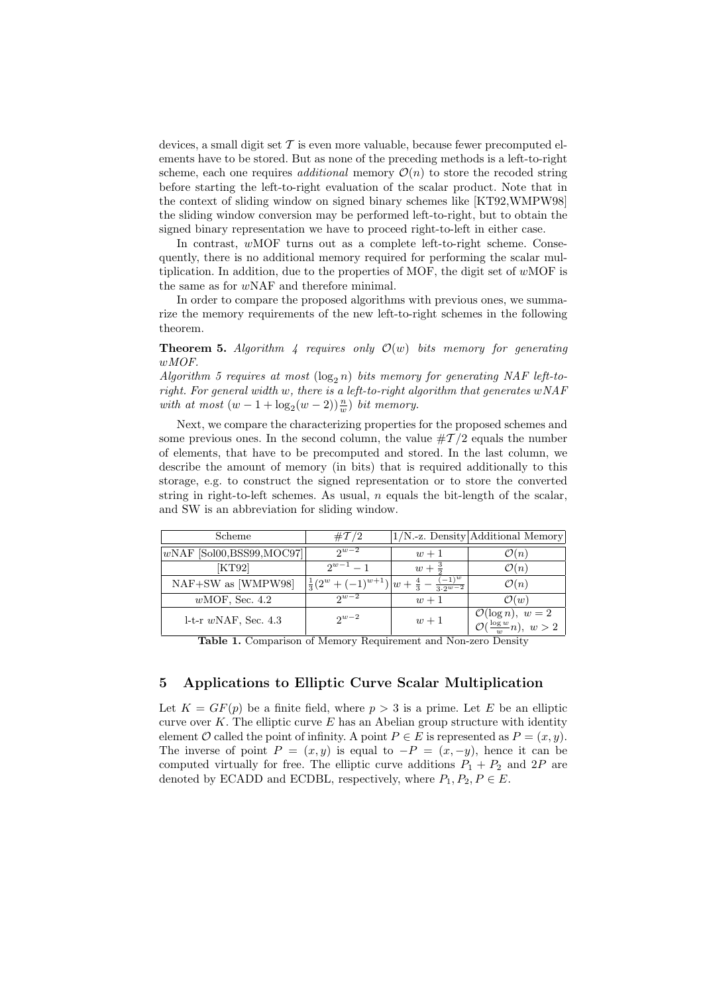devices, a small digit set  $\mathcal T$  is even more valuable, because fewer precomputed elements have to be stored. But as none of the preceding methods is a left-to-right scheme, each one requires *additional* memory  $\mathcal{O}(n)$  to store the recoded string before starting the left-to-right evaluation of the scalar product. Note that in the context of sliding window on signed binary schemes like [KT92,WMPW98] the sliding window conversion may be performed left-to-right, but to obtain the signed binary representation we have to proceed right-to-left in either case.

In contrast, wMOF turns out as a complete left-to-right scheme. Consequently, there is no additional memory required for performing the scalar multiplication. In addition, due to the properties of MOF, the digit set of  $wMOF$  is the same as for wNAF and therefore minimal.

In order to compare the proposed algorithms with previous ones, we summarize the memory requirements of the new left-to-right schemes in the following theorem.

**Theorem 5.** Algorithm 4 requires only  $\mathcal{O}(w)$  bits memory for generating wMOF.

Algorithm 5 requires at most  $(\log_2 n)$  bits memory for generating NAF left-toright. For general width w, there is a left-to-right algorithm that generates wNAF with at most  $(w-1+\log_2(w-2))\frac{n}{w}$  bit memory.

Next, we compare the characterizing properties for the proposed schemes and some previous ones. In the second column, the value  $\#T/2$  equals the number of elements, that have to be precomputed and stored. In the last column, we describe the amount of memory (in bits) that is required additionally to this storage, e.g. to construct the signed representation or to store the converted string in right-to-left schemes. As usual,  $n$  equals the bit-length of the scalar, and SW is an abbreviation for sliding window.

| Scheme                      | $\#T/2$                                                                                          |                   | $1/N$ .-z. Density Additional Memory                                    |
|-----------------------------|--------------------------------------------------------------------------------------------------|-------------------|-------------------------------------------------------------------------|
| $wNAF$ [Sol00,BSS99,MOC97]] | $2w-2$                                                                                           | $w+1$             | $\mathcal{O}(n)$                                                        |
| $\vert$ KT92 $\vert$        | $2^{w-1} - 1$                                                                                    | $w + \frac{3}{2}$ | $\mathcal{O}(n)$                                                        |
| NAF+SW as [WMPW98]          | $\left  \frac{1}{3} (2^w + (-1)^{w+1}) \right  w + \frac{4}{3} - \frac{(-1)^w}{3 \cdot 2^{w-2}}$ |                   | $\mathcal{O}(n)$                                                        |
| $wMOF$ , Sec. 4.2           | $2w-2$                                                                                           | $w+1$             | $\mathcal{O}(w)$                                                        |
| l-t-r $wNAF$ , Sec. 4.3     | $2^{w-2}$                                                                                        | $w+1$             | $\mathcal{O}(\log n), w = 2$<br>$\mathcal{O}(\frac{\log w}{w}n), w > 2$ |

Table 1. Comparison of Memory Requirement and Non-zero Density

## 5 Applications to Elliptic Curve Scalar Multiplication

Let  $K = GF(p)$  be a finite field, where  $p > 3$  is a prime. Let E be an elliptic curve over K. The elliptic curve  $E$  has an Abelian group structure with identity element  $\mathcal O$  called the point of infinity. A point  $P \in E$  is represented as  $P = (x, y)$ . The inverse of point  $P = (x, y)$  is equal to  $-P = (x, -y)$ , hence it can be computed virtually for free. The elliptic curve additions  $P_1 + P_2$  and  $2P$  are denoted by ECADD and ECDBL, respectively, where  $P_1, P_2, P \in E$ .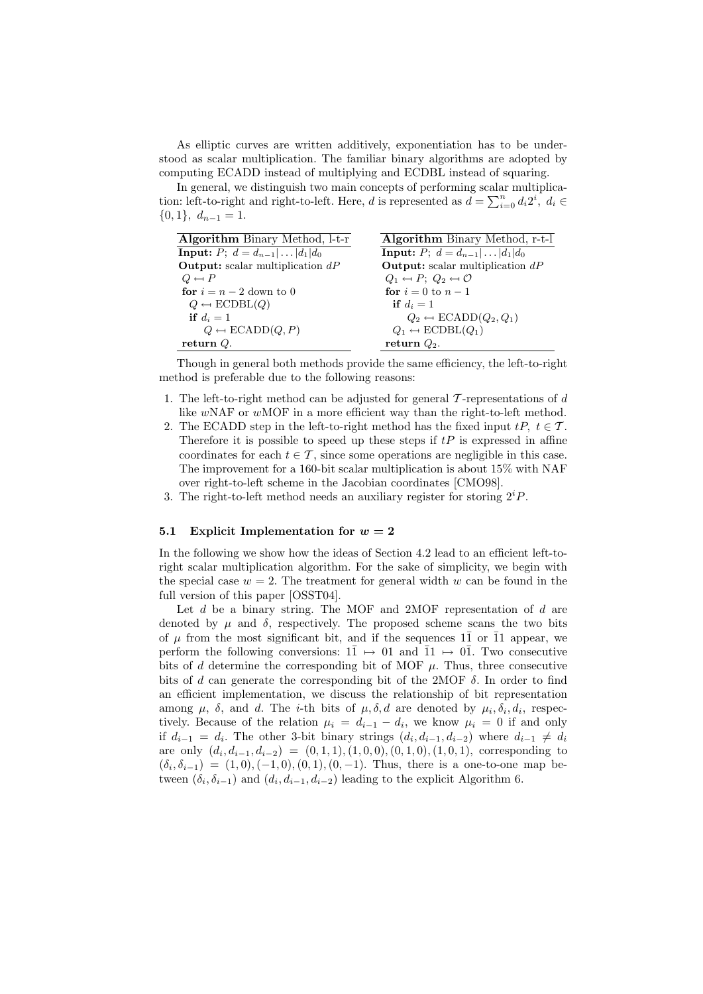As elliptic curves are written additively, exponentiation has to be understood as scalar multiplication. The familiar binary algorithms are adopted by computing ECADD instead of multiplying and ECDBL instead of squaring.

In general, we distinguish two main concepts of performing scalar multiplication: left-to-right and right-to-left. Here, d is represented as  $d = \sum_{i=0}^{n} d_i 2^i$ ,  $d_i \in$  $\{0,1\}, d_{n-1} = 1.$ 

| <b>Algorithm Binary Method, I-t-r</b>                 | <b>Algorithm</b> Binary Method, r-t-l                 |
|-------------------------------------------------------|-------------------------------------------------------|
| <b>Input:</b> $P$ ; $d = d_{n-1}   \dots   d_1   d_0$ | <b>Input:</b> $P$ ; $d = d_{n-1}   \dots   d_1   d_0$ |
| <b>Output:</b> scalar multiplication $dP$             | <b>Output:</b> scalar multiplication $dP$             |
| $Q \leftarrow P$                                      | $Q_1 \leftarrow P$ ; $Q_2 \leftarrow O$               |
| for $i = n - 2$ down to 0                             | for $i=0$ to $n-1$                                    |
| $Q \leftarrow \text{ECDBL}(Q)$                        | if $d_i = 1$                                          |
| if $d_i = 1$                                          | $Q_2 \leftarrow \text{ECADD}(Q_2, Q_1)$               |
| $Q \leftarrow \text{ECADD}(Q, P)$                     | $Q_1 \leftarrow \text{ECDBL}(Q_1)$                    |
| return $Q$ .                                          | return $Q_2$ .                                        |

Though in general both methods provide the same efficiency, the left-to-right method is preferable due to the following reasons:

- 1. The left-to-right method can be adjusted for general  $\mathcal T$ -representations of d like wNAF or wMOF in a more efficient way than the right-to-left method.
- 2. The ECADD step in the left-to-right method has the fixed input  $tP, t \in \mathcal{T}$ . Therefore it is possible to speed up these steps if  $tP$  is expressed in affine coordinates for each  $t \in \mathcal{T}$ , since some operations are negligible in this case. The improvement for a 160-bit scalar multiplication is about 15% with NAF over right-to-left scheme in the Jacobian coordinates [CMO98].
- 3. The right-to-left method needs an auxiliary register for storing  $2^{i}P$ .

### 5.1 Explicit Implementation for  $w = 2$

In the following we show how the ideas of Section 4.2 lead to an efficient left-toright scalar multiplication algorithm. For the sake of simplicity, we begin with the special case  $w = 2$ . The treatment for general width w can be found in the full version of this paper [OSST04].

Let  $d$  be a binary string. The MOF and 2MOF representation of  $d$  are denoted by  $\mu$  and  $\delta$ , respectively. The proposed scheme scans the two bits of  $\mu$  from the most significant bit, and if the sequences  $1\bar{1}$  or  $\bar{1}1$  appear, we perform the following conversions:  $1\overline{1} \mapsto 01$  and  $\overline{1}1 \mapsto 0\overline{1}$ . Two consecutive bits of d determine the corresponding bit of MOF  $\mu$ . Thus, three consecutive bits of d can generate the corresponding bit of the 2MOF  $\delta$ . In order to find an efficient implementation, we discuss the relationship of bit representation among  $\mu$ ,  $\delta$ , and d. The *i*-th bits of  $\mu$ ,  $\delta$ , d are denoted by  $\mu_i$ ,  $\delta_i$ ,  $d_i$ , respectively. Because of the relation  $\mu_i = d_{i-1} - d_i$ , we know  $\mu_i = 0$  if and only if  $d_{i-1} = d_i$ . The other 3-bit binary strings  $(d_i, d_{i-1}, d_{i-2})$  where  $d_{i-1} \neq d_i$ are only  $(d_i, d_{i-1}, d_{i-2}) = (0, 1, 1), (1, 0, 0), (0, 1, 0), (1, 0, 1),$  corresponding to  $(\delta_i, \delta_{i-1}) = (1, 0), (-1, 0), (0, 1), (0, -1)$ . Thus, there is a one-to-one map between  $(\delta_i, \delta_{i-1})$  and  $(d_i, d_{i-1}, d_{i-2})$  leading to the explicit Algorithm 6.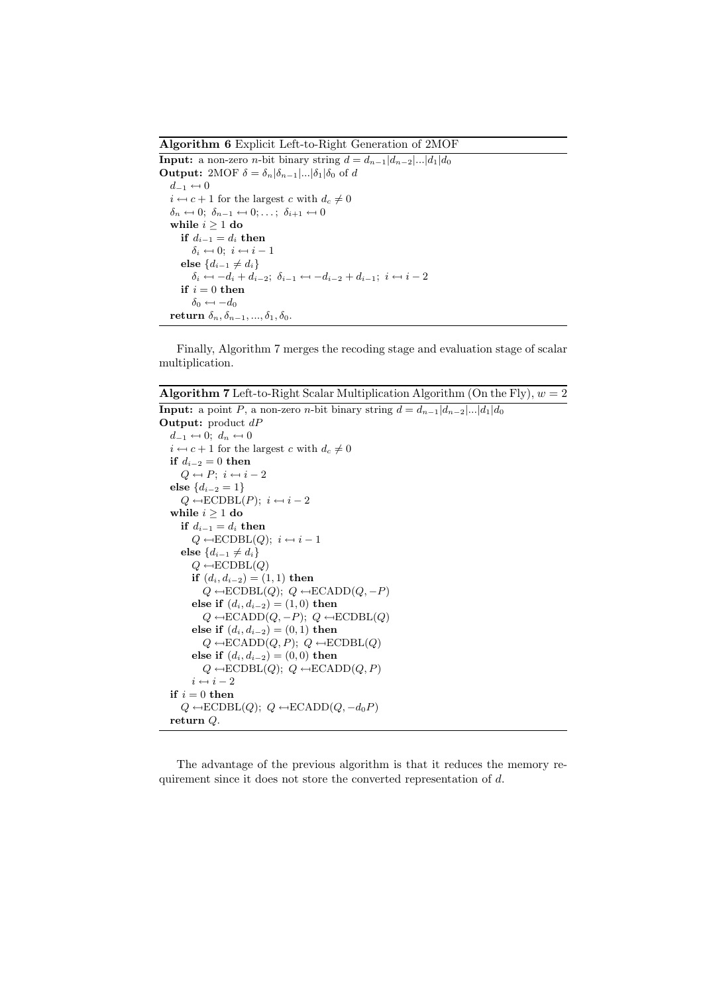Algorithm 6 Explicit Left-to-Right Generation of 2MOF

**Input:** a non-zero *n*-bit binary string  $d = d_{n-1}|d_{n-2}|...|d_1|d_0$ **Output:** 2MOF  $\delta = \delta_n |\delta_{n-1}| ... |\delta_1| \delta_0$  of d  $d_{-1} \leftarrow 0$  $i \leftarrow c + 1$  for the largest c with  $d_c \neq 0$  $\delta_n \leftarrow 0; \ \delta_{n-1} \leftarrow 0; \ldots; \ \delta_{i+1} \leftarrow 0$ while  $i \geq 1$  do if  $d_{i-1} = d_i$  then  $\delta_i \leftarrow 0; i \leftarrow i - 1$ else  ${d_{i-1} \neq d_i}$  $\delta_i \leftarrow -d_i + d_{i-2}; \ \delta_{i-1} \leftarrow -d_{i-2} + d_{i-1}; \ i \leftarrow i-2$ if  $i = 0$  then  $\delta_0 \leftarrow -d_0$ return  $\delta_n, \delta_{n-1}, ..., \delta_1, \delta_0$ .

Finally, Algorithm 7 merges the recoding stage and evaluation stage of scalar multiplication.

**Algorithm 7** Left-to-Right Scalar Multiplication Algorithm (On the Fly),  $w = 2$ 

```
Input: a point P, a non-zero n-bit binary string d = d_{n-1}|d_{n-2}|...|d_1|d_0Output: product dP
d_{-1} \leftarrow 0; d_n \leftarrow 0i \leftarrow c + 1 for the largest c with d_c \neq 0if d_{i-2} = 0 then
    Q \leftarrow P; i \leftarrow i - 2else {d_{i-2} = 1}Q \leftarrowECDBL(P); i \leftarrow i - 2while i > 1 do
    if d_{i-1} = d_i then
       Q \leftarrow \text{ECDBL}(Q); i \leftarrow i - 1else {d_{i-1} \neq d_i}Q \leftarrow \text{ECDBL}(Q)if (d_i, d_{i-2}) = (1, 1) then
          Q \leftarrow \!\!\!\!\! \text{ECDBL}(Q); \ Q \leftarrow \!\!\!\!\!\!\!\! \text{ECADD}(Q,-P)else if (d_i, d_{i-2}) = (1, 0) then
          Q \leftarrow \text{ECADD}(Q, -P); Q \leftarrow \text{ECDBL}(Q)else if (d_i, d_{i-2}) = (0, 1) then
          Q \leftarrow \text{ECADD}(Q, P); Q \leftarrow \text{ECDBL}(Q)else if (d_i, d_{i-2}) = (0, 0) then
          Q \leftarrow \text{ECDBL}(Q); Q \leftarrow \text{ECADD}(Q, P)i \leftarrow i - 2if i = 0 then
    Q \leftarrow \text{ECDBL}(Q); Q \leftarrow \text{ECADD}(Q, -d_0P)return Q.
```
The advantage of the previous algorithm is that it reduces the memory requirement since it does not store the converted representation of d.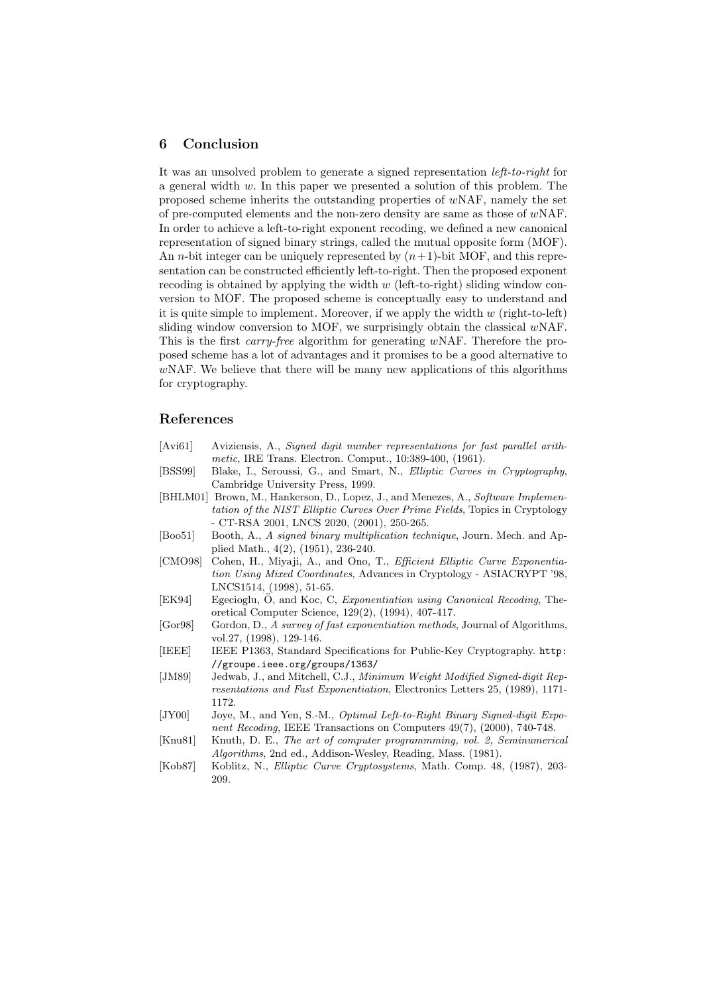### 6 Conclusion

It was an unsolved problem to generate a signed representation left-to-right for a general width w. In this paper we presented a solution of this problem. The proposed scheme inherits the outstanding properties of  $wNAF$ , namely the set of pre-computed elements and the non-zero density are same as those of wNAF. In order to achieve a left-to-right exponent recoding, we defined a new canonical representation of signed binary strings, called the mutual opposite form (MOF). An *n*-bit integer can be uniquely represented by  $(n+1)$ -bit MOF, and this representation can be constructed efficiently left-to-right. Then the proposed exponent recoding is obtained by applying the width  $w$  (left-to-right) sliding window conversion to MOF. The proposed scheme is conceptually easy to understand and it is quite simple to implement. Moreover, if we apply the width  $w$  (right-to-left) sliding window conversion to MOF, we surprisingly obtain the classical wNAF. This is the first *carry-free* algorithm for generating wNAF. Therefore the proposed scheme has a lot of advantages and it promises to be a good alternative to wNAF. We believe that there will be many new applications of this algorithms for cryptography.

### References

- [Avi61] Aviziensis, A., Signed digit number representations for fast parallel arithmetic, IRE Trans. Electron. Comput., 10:389-400, (1961).
- [BSS99] Blake, I., Seroussi, G., and Smart, N., Elliptic Curves in Cryptography, Cambridge University Press, 1999.
- [BHLM01] Brown, M., Hankerson, D., Lopez, J., and Menezes, A., Software Implementation of the NIST Elliptic Curves Over Prime Fields, Topics in Cryptology - CT-RSA 2001, LNCS 2020, (2001), 250-265.
- [Boo51] Booth, A., A signed binary multiplication technique, Journ. Mech. and Applied Math., 4(2), (1951), 236-240.
- [CMO98] Cohen, H., Miyaji, A., and Ono, T., Efficient Elliptic Curve Exponentiation Using Mixed Coordinates, Advances in Cryptology - ASIACRYPT '98, LNCS1514, (1998), 51-65.
- [EK94] Egecioglu, Ö, and Koc, C, Exponentiation using Canonical Recoding, Theoretical Computer Science, 129(2), (1994), 407-417.
- [Gor98] Gordon, D., A survey of fast exponentiation methods, Journal of Algorithms, vol.27, (1998), 129-146.
- [IEEE] IEEE P1363, Standard Specifications for Public-Key Cryptography. http: //groupe.ieee.org/groups/1363/
- [JM89] Jedwab, J., and Mitchell, C.J., Minimum Weight Modified Signed-digit Representations and Fast Exponentiation, Electronics Letters 25, (1989), 1171- 1172.
- [JY00] Joye, M., and Yen, S.-M., Optimal Left-to-Right Binary Signed-digit Exponent Recoding, IEEE Transactions on Computers 49(7), (2000), 740-748.
- [Knu81] Knuth, D. E., The art of computer programmming, vol. 2, Seminumerical Algorithms, 2nd ed., Addison-Wesley, Reading, Mass. (1981).
- [Kob87] Koblitz, N., Elliptic Curve Cryptosystems, Math. Comp. 48, (1987), 203- 209.